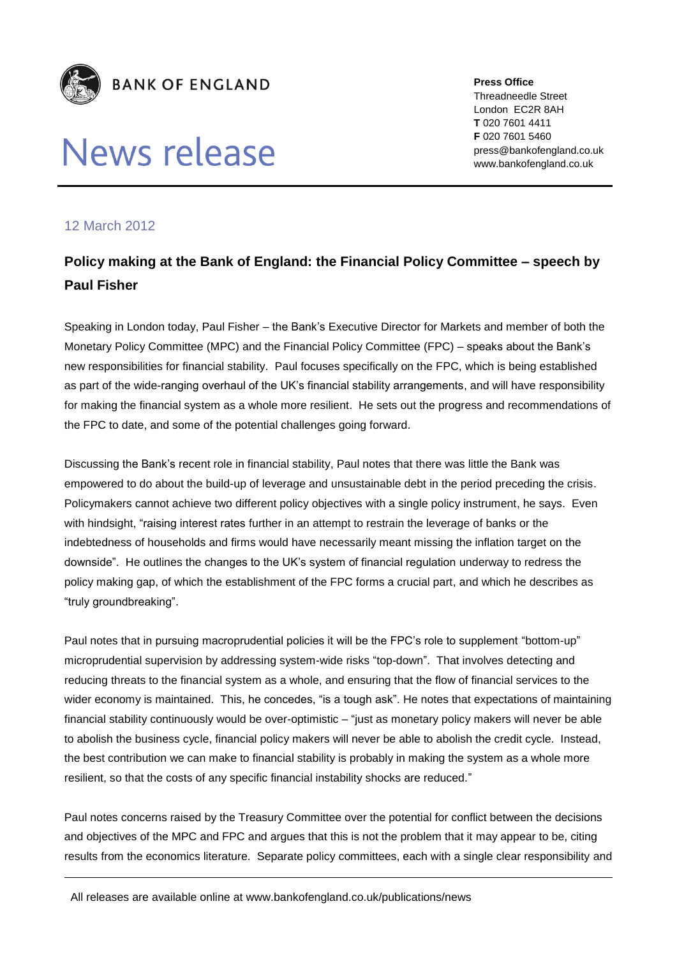

## News release

**Press Office** Threadneedle Street London EC2R 8AH **T** 020 7601 4411 **F** 020 7601 5460 press@bankofengland.co.uk www.bankofengland.co.uk

## 12 March 2012

## **Policy making at the Bank of England: the Financial Policy Committee – speech by Paul Fisher**

Speaking in London today, Paul Fisher – the Bank's Executive Director for Markets and member of both the Monetary Policy Committee (MPC) and the Financial Policy Committee (FPC) – speaks about the Bank's new responsibilities for financial stability. Paul focuses specifically on the FPC, which is being established as part of the wide-ranging overhaul of the UK's financial stability arrangements, and will have responsibility for making the financial system as a whole more resilient. He sets out the progress and recommendations of the FPC to date, and some of the potential challenges going forward.

Discussing the Bank's recent role in financial stability, Paul notes that there was little the Bank was empowered to do about the build-up of leverage and unsustainable debt in the period preceding the crisis. Policymakers cannot achieve two different policy objectives with a single policy instrument, he says. Even with hindsight, "raising interest rates further in an attempt to restrain the leverage of banks or the indebtedness of households and firms would have necessarily meant missing the inflation target on the downside". He outlines the changes to the UK's system of financial regulation underway to redress the policy making gap, of which the establishment of the FPC forms a crucial part, and which he describes as "truly groundbreaking".

Paul notes that in pursuing macroprudential policies it will be the FPC's role to supplement "bottom-up" microprudential supervision by addressing system-wide risks "top-down". That involves detecting and reducing threats to the financial system as a whole, and ensuring that the flow of financial services to the wider economy is maintained. This, he concedes, "is a tough ask". He notes that expectations of maintaining financial stability continuously would be over-optimistic – "just as monetary policy makers will never be able to abolish the business cycle, financial policy makers will never be able to abolish the credit cycle. Instead, the best contribution we can make to financial stability is probably in making the system as a whole more resilient, so that the costs of any specific financial instability shocks are reduced."

Paul notes concerns raised by the Treasury Committee over the potential for conflict between the decisions and objectives of the MPC and FPC and argues that this is not the problem that it may appear to be, citing results from the economics literature. Separate policy committees, each with a single clear responsibility and